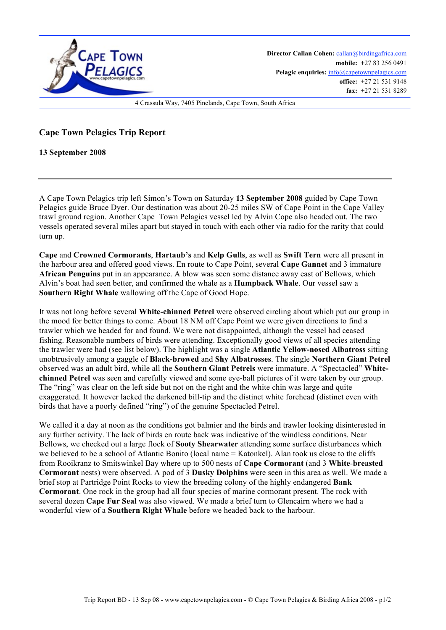

**Director Callan Cohen:** callan@birdingafrica.com **mobile: +**27 83 256 0491 Pelagic enquiries:  $info@capetownpelagics.com$ **office:** +27 21 531 9148 **fax:** +27 21 531 8289

4 Crassula Way, 7405 Pinelands, Cape Town, South Africa

## **Cape Town Pelagics Trip Report**

**13 September 2008**

A Cape Town Pelagics trip left Simon's Town on Saturday **13 September 2008** guided by Cape Town Pelagics guide Bruce Dyer. Our destination was about 20-25 miles SW of Cape Point in the Cape Valley trawl ground region. Another Cape Town Pelagics vessel led by Alvin Cope also headed out. The two vessels operated several miles apart but stayed in touch with each other via radio for the rarity that could turn up.

**Cape** and **Crowned Cormorants**, **Hartaub's** and **Kelp Gulls**, as well as **Swift Tern** were all present in the harbour area and offered good views. En route to Cape Point, several **Cape Gannet** and 3 immature **African Penguins** put in an appearance. A blow was seen some distance away east of Bellows, which Alvin's boat had seen better, and confirmed the whale as a **Humpback Whale**. Our vessel saw a **Southern Right Whale** wallowing off the Cape of Good Hope.

It was not long before several **White-chinned Petrel** were observed circling about which put our group in the mood for better things to come. About 18 NM off Cape Point we were given directions to find a trawler which we headed for and found. We were not disappointed, although the vessel had ceased fishing. Reasonable numbers of birds were attending. Exceptionally good views of all species attending the trawler were had (see list below). The highlight was a single **Atlantic Yellow-nosed Albatross** sitting unobtrusively among a gaggle of **Black-browed** and **Shy Albatrosses**. The single **Northern Giant Petrel** observed was an adult bird, while all the **Southern Giant Petrels** were immature. A "Spectacled" **Whitechinned Petrel** was seen and carefully viewed and some eye-ball pictures of it were taken by our group. The "ring" was clear on the left side but not on the right and the white chin was large and quite exaggerated. It however lacked the darkened bill-tip and the distinct white forehead (distinct even with birds that have a poorly defined "ring") of the genuine Spectacled Petrel.

We called it a day at noon as the conditions got balmier and the birds and trawler looking disinterested in any further activity. The lack of birds en route back was indicative of the windless conditions. Near Bellows, we checked out a large flock of **Sooty Shearwater** attending some surface disturbances which we believed to be a school of Atlantic Bonito (local name = Katonkel). Alan took us close to the cliffs from Rooikranz to Smitswinkel Bay where up to 500 nests of **Cape Cormorant** (and 3 **White**-**breasted Cormorant** nests) were observed. A pod of 3 **Dusky Dolphins** were seen in this area as well. We made a brief stop at Partridge Point Rocks to view the breeding colony of the highly endangered **Bank Cormorant**. One rock in the group had all four species of marine cormorant present. The rock with several dozen **Cape Fur Seal** was also viewed. We made a brief turn to Glencairn where we had a wonderful view of a **Southern Right Whale** before we headed back to the harbour.